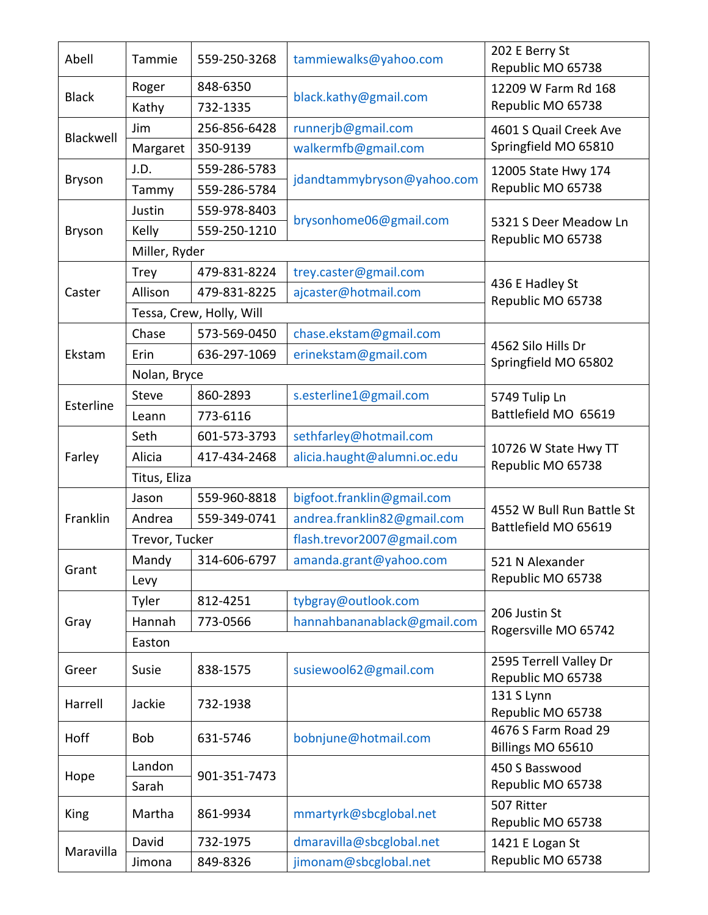| Abell         | Tammie         | 559-250-3268             | tammiewalks@yahoo.com       | 202 E Berry St<br>Republic MO 65738               |  |  |
|---------------|----------------|--------------------------|-----------------------------|---------------------------------------------------|--|--|
| <b>Black</b>  | Roger          | 848-6350                 | black.kathy@gmail.com       | 12209 W Farm Rd 168<br>Republic MO 65738          |  |  |
|               | Kathy          | 732-1335                 |                             |                                                   |  |  |
| Blackwell     | Jim            | 256-856-6428             | runnerjb@gmail.com          | 4601 S Quail Creek Ave<br>Springfield MO 65810    |  |  |
|               | Margaret       | 350-9139                 | walkermfb@gmail.com         |                                                   |  |  |
| Bryson        | J.D.           | 559-286-5783             | jdandtammybryson@yahoo.com  | 12005 State Hwy 174<br>Republic MO 65738          |  |  |
|               | Tammy          | 559-286-5784             |                             |                                                   |  |  |
| <b>Bryson</b> | Justin         | 559-978-8403             | brysonhome06@gmail.com      | 5321 S Deer Meadow Ln<br>Republic MO 65738        |  |  |
|               | Kelly          | 559-250-1210             |                             |                                                   |  |  |
|               | Miller, Ryder  |                          |                             |                                                   |  |  |
|               | <b>Trey</b>    | 479-831-8224             | trey.caster@gmail.com       | 436 E Hadley St<br>Republic MO 65738              |  |  |
| Caster        | Allison        | 479-831-8225             | ajcaster@hotmail.com        |                                                   |  |  |
|               |                | Tessa, Crew, Holly, Will |                             |                                                   |  |  |
|               | Chase          | 573-569-0450             | chase.ekstam@gmail.com      | 4562 Silo Hills Dr<br>Springfield MO 65802        |  |  |
| Ekstam        | Erin           | 636-297-1069             | erinekstam@gmail.com        |                                                   |  |  |
|               | Nolan, Bryce   |                          |                             |                                                   |  |  |
| Esterline     | <b>Steve</b>   | 860-2893                 | s.esterline1@gmail.com      | 5749 Tulip Ln                                     |  |  |
|               | Leann          | 773-6116                 |                             | Battlefield MO 65619                              |  |  |
|               | Seth           | 601-573-3793             | sethfarley@hotmail.com      | 10726 W State Hwy TT<br>Republic MO 65738         |  |  |
| Farley        | Alicia         | 417-434-2468             | alicia.haught@alumni.oc.edu |                                                   |  |  |
|               | Titus, Eliza   |                          |                             |                                                   |  |  |
|               | Jason          | 559-960-8818             | bigfoot.franklin@gmail.com  | 4552 W Bull Run Battle St<br>Battlefield MO 65619 |  |  |
| Franklin      | Andrea         | 559-349-0741             | andrea.franklin82@gmail.com |                                                   |  |  |
|               | Trevor, Tucker |                          | flash.trevor2007@gmail.com  |                                                   |  |  |
| Grant         |                | Mandy   314-606-6797     | amanda.grant@yahoo.com      | 521 N Alexander                                   |  |  |
|               | Levy           |                          |                             | Republic MO 65738                                 |  |  |
| Gray          | Tyler          | 812-4251                 | tybgray@outlook.com         | 206 Justin St<br>Rogersville MO 65742             |  |  |
|               | Hannah         | 773-0566                 | hannahbananablack@gmail.com |                                                   |  |  |
|               | Easton         |                          |                             |                                                   |  |  |
| Greer         | Susie          | 838-1575                 | susiewool62@gmail.com       | 2595 Terrell Valley Dr                            |  |  |
|               |                |                          |                             | Republic MO 65738<br>131 S Lynn                   |  |  |
| Harrell       | Jackie         | 732-1938                 |                             | Republic MO 65738                                 |  |  |
| Hoff          | Bob            | 631-5746                 | bobnjune@hotmail.com        | 4676 S Farm Road 29                               |  |  |
| Hope          | Landon         | 901-351-7473             |                             | Billings MO 65610                                 |  |  |
|               | Sarah          |                          |                             | 450 S Basswood<br>Republic MO 65738               |  |  |
|               |                |                          |                             | 507 Ritter                                        |  |  |
| King          | Martha         | 861-9934                 | mmartyrk@sbcglobal.net      | Republic MO 65738                                 |  |  |
| Maravilla     | David          | 732-1975                 | dmaravilla@sbcglobal.net    | 1421 E Logan St<br>Republic MO 65738              |  |  |
|               | Jimona         | 849-8326                 | jimonam@sbcglobal.net       |                                                   |  |  |